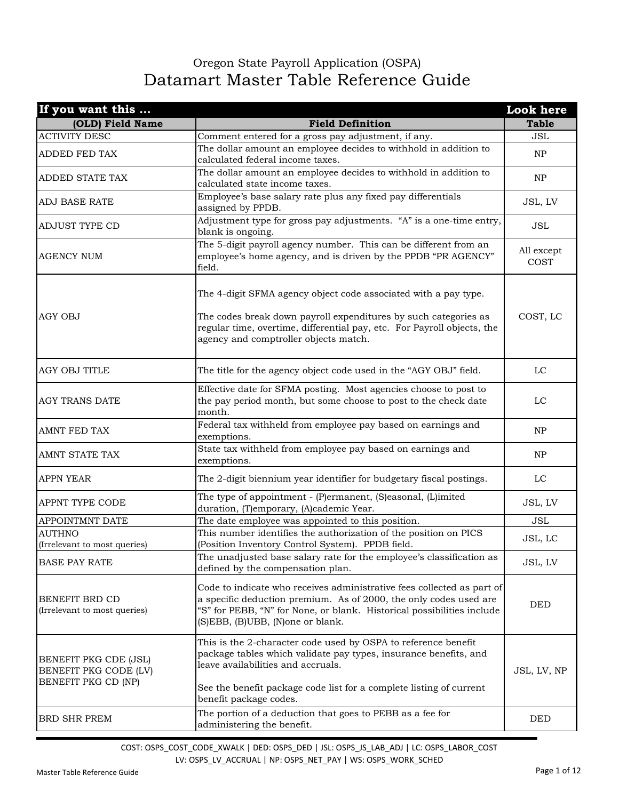## Oregon State Payroll Application (OSPA) Datamart Master Table Reference Guide

| If you want this                                                      |                                                                                                                                                                                                                                                                           | Look here          |
|-----------------------------------------------------------------------|---------------------------------------------------------------------------------------------------------------------------------------------------------------------------------------------------------------------------------------------------------------------------|--------------------|
| (OLD) Field Name                                                      | <b>Field Definition</b>                                                                                                                                                                                                                                                   | <b>Table</b>       |
| <b>ACTIVITY DESC</b>                                                  | Comment entered for a gross pay adjustment, if any.                                                                                                                                                                                                                       | JSL                |
| ADDED FED TAX                                                         | The dollar amount an employee decides to withhold in addition to<br>calculated federal income taxes.                                                                                                                                                                      | NP                 |
| ADDED STATE TAX                                                       | The dollar amount an employee decides to withhold in addition to<br>calculated state income taxes.                                                                                                                                                                        | NP                 |
| <b>ADJ BASE RATE</b>                                                  | Employee's base salary rate plus any fixed pay differentials<br>assigned by PPDB.                                                                                                                                                                                         | JSL, LV            |
| <b>ADJUST TYPE CD</b>                                                 | Adjustment type for gross pay adjustments. "A" is a one-time entry,<br>blank is ongoing.                                                                                                                                                                                  | <b>JSL</b>         |
| <b>AGENCY NUM</b>                                                     | The 5-digit payroll agency number. This can be different from an<br>employee's home agency, and is driven by the PPDB "PR AGENCY"<br>field.                                                                                                                               | All except<br>COST |
| <b>AGY OBJ</b>                                                        | The 4-digit SFMA agency object code associated with a pay type.<br>The codes break down payroll expenditures by such categories as<br>regular time, overtime, differential pay, etc. For Payroll objects, the<br>agency and comptroller objects match.                    | COST, LC           |
| <b>AGY OBJ TITLE</b>                                                  | The title for the agency object code used in the "AGY OBJ" field.                                                                                                                                                                                                         | LC                 |
| <b>AGY TRANS DATE</b>                                                 | Effective date for SFMA posting. Most agencies choose to post to<br>the pay period month, but some choose to post to the check date<br>month.                                                                                                                             | LC                 |
| AMNT FED TAX                                                          | Federal tax withheld from employee pay based on earnings and<br>exemptions.                                                                                                                                                                                               | NP                 |
| AMNT STATE TAX                                                        | State tax withheld from employee pay based on earnings and<br>exemptions.                                                                                                                                                                                                 | NP                 |
| <b>APPN YEAR</b>                                                      | The 2-digit biennium year identifier for budgetary fiscal postings.                                                                                                                                                                                                       | LC                 |
| APPNT TYPE CODE                                                       | The type of appointment - (P)ermanent, (S)easonal, (L)imited<br>duration, (T)emporary, (A)cademic Year.                                                                                                                                                                   | JSL, LV            |
| APPOINTMNT DATE                                                       | The date employee was appointed to this position.                                                                                                                                                                                                                         | <b>JSL</b>         |
| <b>AUTHNO</b><br>(Irrelevant to most queries)                         | This number identifies the authorization of the position on PICS<br>(Position Inventory Control System). PPDB field.                                                                                                                                                      | JSL, LC            |
| <b>BASE PAY RATE</b>                                                  | The unadjusted base salary rate for the employee's classification as<br>defined by the compensation plan.                                                                                                                                                                 | JSL, LV            |
| BENEFIT BRD CD<br>(Irrelevant to most queries)                        | Code to indicate who receives administrative fees collected as part of<br>a specific deduction premium. As of 2000, the only codes used are<br>"S" for PEBB, "N" for None, or blank. Historical possibilities include<br>(S)EBB, (B)UBB, (N)one or blank.                 | <b>DED</b>         |
| BENEFIT PKG CDE (JSL)<br>BENEFIT PKG CODE (LV)<br>BENEFIT PKG CD (NP) | This is the 2-character code used by OSPA to reference benefit<br>package tables which validate pay types, insurance benefits, and<br>leave availabilities and accruals.<br>See the benefit package code list for a complete listing of current<br>benefit package codes. | JSL, LV, NP        |
| <b>BRD SHR PREM</b>                                                   | The portion of a deduction that goes to PEBB as a fee for<br>administering the benefit.                                                                                                                                                                                   | <b>DED</b>         |

COST: OSPS\_COST\_CODE\_XWALK | DED: OSPS\_DED | JSL: OSPS\_JS\_LAB\_ADJ | LC: OSPS\_LABOR\_COST LV: OSPS\_LV\_ACCRUAL | NP: OSPS\_NET\_PAY | WS: OSPS\_WORK\_SCHED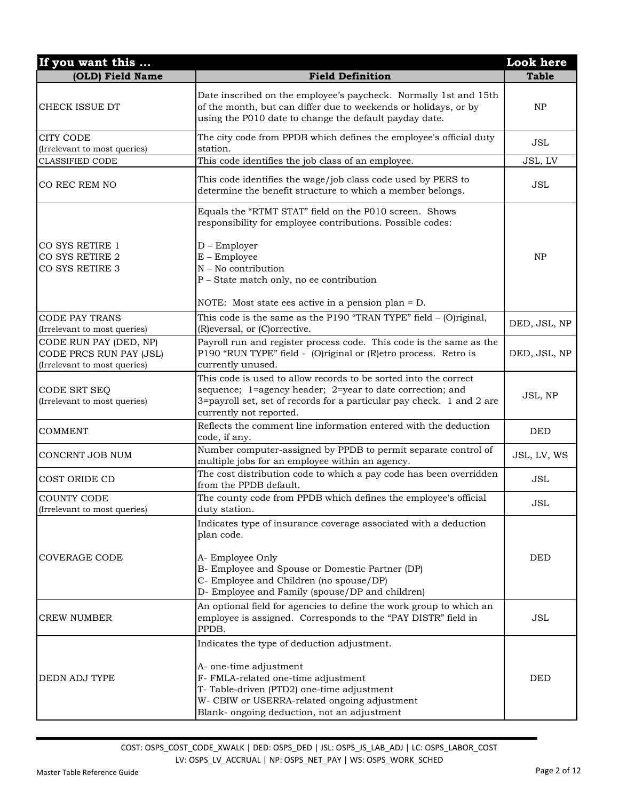| If you want this                                                                  |                                                                                                                                                                                                                                                           | <b>Look</b> here |
|-----------------------------------------------------------------------------------|-----------------------------------------------------------------------------------------------------------------------------------------------------------------------------------------------------------------------------------------------------------|------------------|
| (OLD) Field Name                                                                  | <b>Field Definition</b>                                                                                                                                                                                                                                   | <b>Table</b>     |
| CHECK ISSUE DT                                                                    | Date inscribed on the employee's paycheck. Normally 1st and 15th<br>of the month, but can differ due to weekends or holidays, or by<br>using the P010 date to change the default payday date.                                                             | NP               |
| <b>CITY CODE</b><br>(Irrelevant to most queries)                                  | The city code from PPDB which defines the employee's official duty<br>station.                                                                                                                                                                            | <b>JSL</b>       |
| <b>CLASSIFIED CODE</b>                                                            | This code identifies the job class of an employee.                                                                                                                                                                                                        | JSL, LV          |
| CO REC REM NO                                                                     | This code identifies the wage/job class code used by PERS to<br>determine the benefit structure to which a member belongs.                                                                                                                                | <b>JSL</b>       |
|                                                                                   | Equals the "RTMT STAT" field on the P010 screen. Shows<br>responsibility for employee contributions. Possible codes:                                                                                                                                      |                  |
| CO SYS RETIRE 1<br>CO SYS RETIRE 2<br>CO SYS RETIRE 3                             | $D$ – Employer<br>$E$ – Employee<br>$N - No$ contribution<br>P - State match only, no ee contribution                                                                                                                                                     | NP               |
|                                                                                   | NOTE: Most state ees active in a pension plan = D.                                                                                                                                                                                                        |                  |
| <b>CODE PAY TRANS</b><br>(Irrelevant to most queries)                             | This code is the same as the P190 "TRAN TYPE" field $-$ (O)riginal,<br>(R) eversal, or (C) orrective.                                                                                                                                                     | DED, JSL, NP     |
| CODE RUN PAY (DED, NP)<br>CODE PRCS RUN PAY (JSL)<br>(Irrelevant to most queries) | Payroll run and register process code. This code is the same as the<br>P190 "RUN TYPE" field - (O)riginal or (R)etro process. Retro is<br>currently unused.                                                                                               | DED, JSL, NP     |
| CODE SRT SEQ<br>(Irrelevant to most queries)                                      | This code is used to allow records to be sorted into the correct<br>sequence; 1=agency header; 2=year to date correction; and<br>3=payroll set, set of records for a particular pay check. 1 and 2 are<br>currently not reported.                         | JSL, NP          |
| <b>COMMENT</b>                                                                    | Reflects the comment line information entered with the deduction<br>code, if any.                                                                                                                                                                         | <b>DED</b>       |
| CONCRNT JOB NUM                                                                   | Number computer-assigned by PPDB to permit separate control of<br>multiple jobs for an employee within an agency.                                                                                                                                         | JSL, LV, WS      |
| COST ORIDE CD                                                                     | The cost distribution code to which a pay code has been overridden<br>from the PPDB default.                                                                                                                                                              | <b>JSL</b>       |
| <b>COUNTY CODE</b><br>(Irrelevant to most queries)                                | The county code from PPDB which defines the employee's official<br>duty station.                                                                                                                                                                          | JSL              |
| <b>COVERAGE CODE</b>                                                              | Indicates type of insurance coverage associated with a deduction<br>plan code.<br>A- Employee Only<br>B- Employee and Spouse or Domestic Partner (DP)                                                                                                     | <b>DED</b>       |
|                                                                                   | C- Employee and Children (no spouse/DP)<br>D- Employee and Family (spouse/DP and children)                                                                                                                                                                |                  |
| <b>CREW NUMBER</b>                                                                | An optional field for agencies to define the work group to which an<br>employee is assigned. Corresponds to the "PAY DISTR" field in<br>PPDB.                                                                                                             | JSL              |
| <b>DEDN ADJ TYPE</b>                                                              | Indicates the type of deduction adjustment.<br>A- one-time adjustment<br>F- FMLA-related one-time adjustment<br>T- Table-driven (PTD2) one-time adjustment<br>W- CBIW or USERRA-related ongoing adjustment<br>Blank- ongoing deduction, not an adjustment | <b>DED</b>       |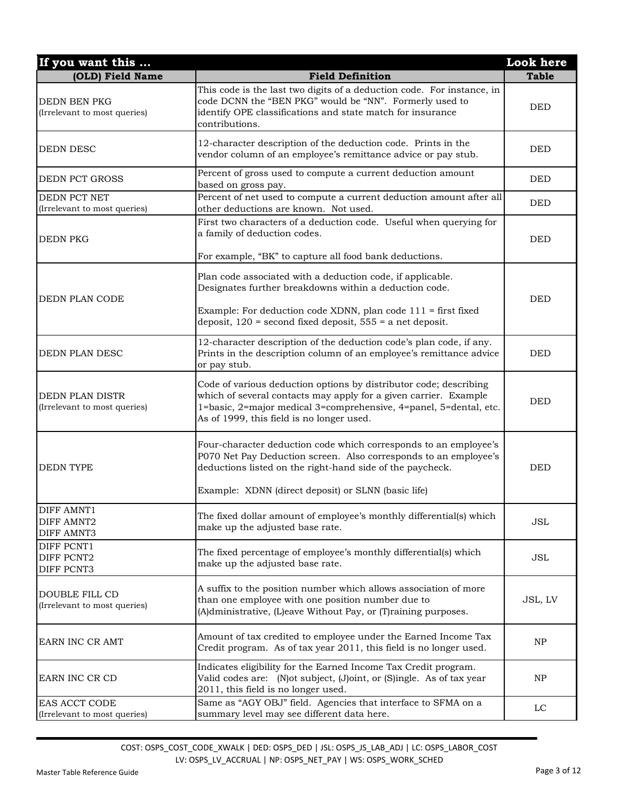| If you want this                                            |                                                                                                                                                                                                                                                          | <b>Look</b> here |
|-------------------------------------------------------------|----------------------------------------------------------------------------------------------------------------------------------------------------------------------------------------------------------------------------------------------------------|------------------|
| (OLD) Field Name                                            | <b>Field Definition</b>                                                                                                                                                                                                                                  | <b>Table</b>     |
| <b>DEDN BEN PKG</b><br>(Irrelevant to most queries)         | This code is the last two digits of a deduction code. For instance, in<br>code DCNN the "BEN PKG" would be "NN". Formerly used to<br>identify OPE classifications and state match for insurance<br>contributions.                                        | <b>DED</b>       |
| <b>DEDN DESC</b>                                            | 12-character description of the deduction code. Prints in the<br>vendor column of an employee's remittance advice or pay stub.                                                                                                                           | <b>DED</b>       |
| <b>DEDN PCT GROSS</b>                                       | Percent of gross used to compute a current deduction amount<br>based on gross pay.                                                                                                                                                                       | <b>DED</b>       |
| DEDN PCT NET<br>(Irrelevant to most queries)                | Percent of net used to compute a current deduction amount after all<br>other deductions are known. Not used.                                                                                                                                             | <b>DED</b>       |
| <b>DEDN PKG</b>                                             | First two characters of a deduction code. Useful when querying for<br>a family of deduction codes.<br>For example, "BK" to capture all food bank deductions.                                                                                             | <b>DED</b>       |
| DEDN PLAN CODE                                              | Plan code associated with a deduction code, if applicable.<br>Designates further breakdowns within a deduction code.<br>Example: For deduction code XDNN, plan code 111 = first fixed<br>deposit, $120$ = second fixed deposit, $555$ = a net deposit.   | <b>DED</b>       |
| <b>DEDN PLAN DESC</b>                                       | 12-character description of the deduction code's plan code, if any.<br>Prints in the description column of an employee's remittance advice<br>or pay stub.                                                                                               | <b>DED</b>       |
| DEDN PLAN DISTR<br>(Irrelevant to most queries)             | Code of various deduction options by distributor code; describing<br>which of several contacts may apply for a given carrier. Example<br>1=basic, 2=major medical 3=comprehensive, 4=panel, 5=dental, etc.<br>As of 1999, this field is no longer used.  | <b>DED</b>       |
| <b>DEDN TYPE</b>                                            | Four-character deduction code which corresponds to an employee's<br>P070 Net Pay Deduction screen. Also corresponds to an employee's<br>deductions listed on the right-hand side of the paycheck.<br>Example: XDNN (direct deposit) or SLNN (basic life) | <b>DED</b>       |
| <b>DIFF AMNT1</b><br><b>DIFF AMNT2</b><br><b>DIFF AMNT3</b> | The fixed dollar amount of employee's monthly differential(s) which<br>make up the adjusted base rate.                                                                                                                                                   | <b>JSL</b>       |
| DIFF PCNT1<br>DIFF PCNT2<br>DIFF PCNT3                      | The fixed percentage of employee's monthly differential(s) which<br>make up the adjusted base rate.                                                                                                                                                      | JSL              |
| DOUBLE FILL CD<br>(Irrelevant to most queries)              | A suffix to the position number which allows association of more<br>than one employee with one position number due to<br>(A)dministrative, (L)eave Without Pay, or (T)raining purposes.                                                                  | JSL, LV          |
| EARN INC CR AMT                                             | Amount of tax credited to employee under the Earned Income Tax<br>Credit program. As of tax year 2011, this field is no longer used.                                                                                                                     | NP               |
| EARN INC CR CD                                              | Indicates eligibility for the Earned Income Tax Credit program.<br>Valid codes are: (N)ot subject, (J)oint, or (S)ingle. As of tax year<br>2011, this field is no longer used.                                                                           | NP               |
| EAS ACCT CODE<br>(Irrelevant to most queries)               | Same as "AGY OBJ" field. Agencies that interface to SFMA on a<br>summary level may see different data here.                                                                                                                                              | LC               |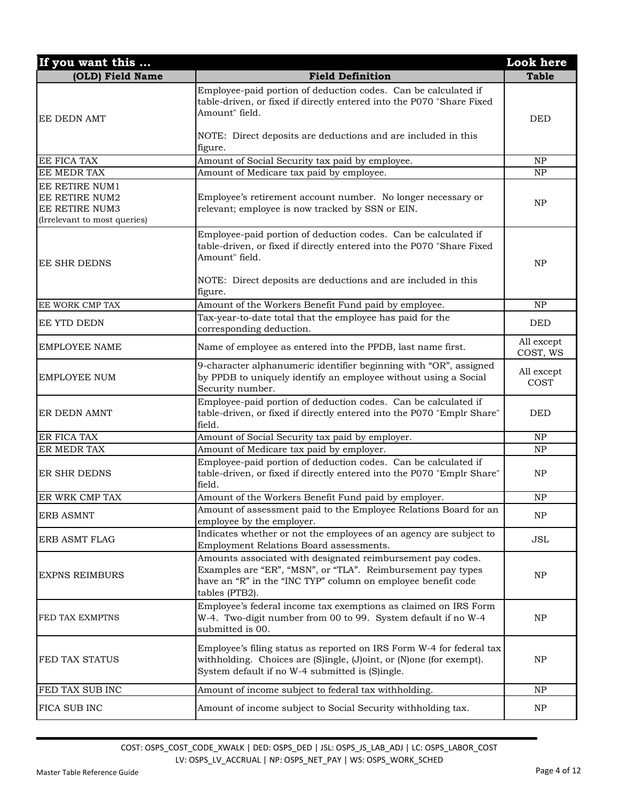| If you want this                                                                   |                                                                                                                                                                                                                            | Look here              |
|------------------------------------------------------------------------------------|----------------------------------------------------------------------------------------------------------------------------------------------------------------------------------------------------------------------------|------------------------|
| (OLD) Field Name                                                                   | <b>Field Definition</b>                                                                                                                                                                                                    | <b>Table</b>           |
| <b>EE DEDN AMT</b>                                                                 | Employee-paid portion of deduction codes. Can be calculated if<br>table-driven, or fixed if directly entered into the P070 "Share Fixed<br>Amount" field.                                                                  | <b>DED</b>             |
|                                                                                    | NOTE: Direct deposits are deductions and are included in this<br>figure.                                                                                                                                                   |                        |
| EE FICA TAX                                                                        | Amount of Social Security tax paid by employee.                                                                                                                                                                            | NP                     |
| EE MEDR TAX                                                                        | Amount of Medicare tax paid by employee.                                                                                                                                                                                   | NP                     |
| EE RETIRE NUM1<br>EE RETIRE NUM2<br>EE RETIRE NUM3<br>(Irrelevant to most queries) | Employee's retirement account number. No longer necessary or<br>relevant; employee is now tracked by SSN or EIN.                                                                                                           | <b>NP</b>              |
| <b>EE SHR DEDNS</b>                                                                | Employee-paid portion of deduction codes. Can be calculated if<br>table-driven, or fixed if directly entered into the P070 "Share Fixed<br>Amount" field.<br>NOTE: Direct deposits are deductions and are included in this | <b>NP</b>              |
|                                                                                    | figure.                                                                                                                                                                                                                    |                        |
| EE WORK CMP TAX                                                                    | Amount of the Workers Benefit Fund paid by employee.<br>Tax-year-to-date total that the employee has paid for the                                                                                                          | NP                     |
| EE YTD DEDN                                                                        | corresponding deduction.                                                                                                                                                                                                   | <b>DED</b>             |
| <b>EMPLOYEE NAME</b>                                                               | Name of employee as entered into the PPDB, last name first.                                                                                                                                                                | All except<br>COST, WS |
| <b>EMPLOYEE NUM</b>                                                                | 9-character alphanumeric identifier beginning with "OR", assigned<br>by PPDB to uniquely identify an employee without using a Social<br>Security number.                                                                   | All except<br>COST     |
| ER DEDN AMNT                                                                       | Employee-paid portion of deduction codes. Can be calculated if<br>table-driven, or fixed if directly entered into the P070 "Emplr Share"<br>field.                                                                         | <b>DED</b>             |
| ER FICA TAX                                                                        | Amount of Social Security tax paid by employer.                                                                                                                                                                            | NP                     |
| ER MEDR TAX                                                                        | Amount of Medicare tax paid by employer.                                                                                                                                                                                   | NP                     |
| ER SHR DEDNS                                                                       | Employee-paid portion of deduction codes. Can be calculated if<br>table-driven, or fixed if directly entered into the P070 "Emplr Share"<br>field.                                                                         | NP                     |
| ER WRK CMP TAX                                                                     | Amount of the Workers Benefit Fund paid by employer.                                                                                                                                                                       | NP                     |
| <b>ERB ASMNT</b>                                                                   | Amount of assessment paid to the Employee Relations Board for an<br>employee by the employer.                                                                                                                              | <b>NP</b>              |
| ERB ASMT FLAG                                                                      | Indicates whether or not the employees of an agency are subject to<br>Employment Relations Board assessments.                                                                                                              | JSL                    |
| <b>EXPNS REIMBURS</b>                                                              | Amounts associated with designated reimbursement pay codes.<br>Examples are "ER", "MSN", or "TLA". Reimbursement pay types<br>have an "R" in the "INC TYP" column on employee benefit code<br>tables (PTB2).               | NP                     |
| FED TAX EXMPTNS                                                                    | Employee's federal income tax exemptions as claimed on IRS Form<br>W-4. Two-digit number from 00 to 99. System default if no W-4<br>submitted is 00.                                                                       | NP                     |
| FED TAX STATUS                                                                     | Employee's filing status as reported on IRS Form W-4 for federal tax<br>withholding. Choices are (S)ingle, (J)oint, or (N)one (for exempt).<br>System default if no W-4 submitted is (S)ingle.                             | NP                     |
| FED TAX SUB INC                                                                    | Amount of income subject to federal tax withholding.                                                                                                                                                                       | NP                     |
| FICA SUB INC                                                                       | Amount of income subject to Social Security withholding tax.                                                                                                                                                               | <b>NP</b>              |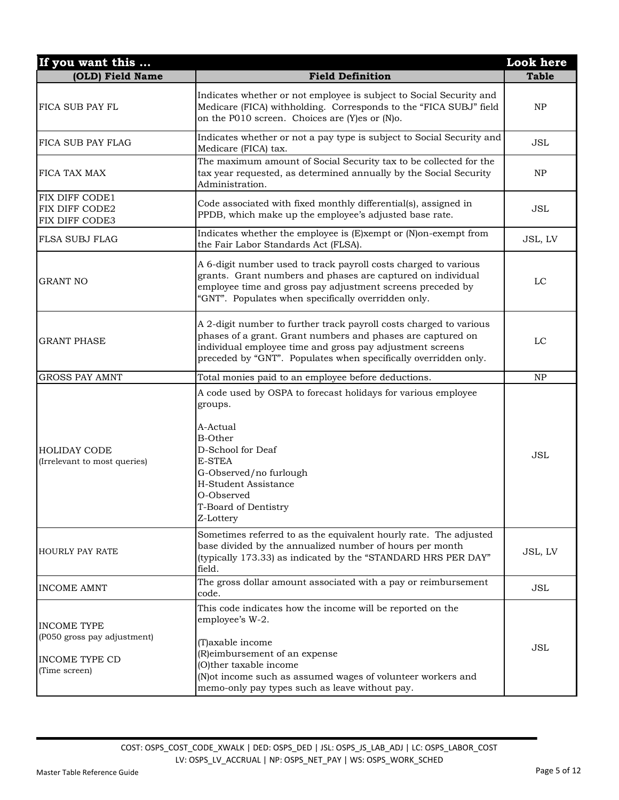| If you want this                                                                            |                                                                                                                                                                                                                                                                                  | <b>Look</b> here |
|---------------------------------------------------------------------------------------------|----------------------------------------------------------------------------------------------------------------------------------------------------------------------------------------------------------------------------------------------------------------------------------|------------------|
| (OLD) Field Name                                                                            | <b>Field Definition</b>                                                                                                                                                                                                                                                          | <b>Table</b>     |
| FICA SUB PAY FL                                                                             | Indicates whether or not employee is subject to Social Security and<br>Medicare (FICA) withholding. Corresponds to the "FICA SUBJ" field<br>on the P010 screen. Choices are (Y)es or (N)o.                                                                                       | NP               |
| FICA SUB PAY FLAG                                                                           | Indicates whether or not a pay type is subject to Social Security and<br>Medicare (FICA) tax.                                                                                                                                                                                    | <b>JSL</b>       |
| <b>FICA TAX MAX</b>                                                                         | The maximum amount of Social Security tax to be collected for the<br>tax year requested, as determined annually by the Social Security<br>Administration.                                                                                                                        | NP               |
| FIX DIFF CODE1<br>FIX DIFF CODE2<br>FIX DIFF CODE3                                          | Code associated with fixed monthly differential(s), assigned in<br>PPDB, which make up the employee's adjusted base rate.                                                                                                                                                        | JSL              |
| FLSA SUBJ FLAG                                                                              | Indicates whether the employee is (E)xempt or (N)on-exempt from<br>the Fair Labor Standards Act (FLSA).                                                                                                                                                                          | JSL, LV          |
| <b>GRANT NO</b>                                                                             | A 6-digit number used to track payroll costs charged to various<br>grants. Grant numbers and phases are captured on individual<br>employee time and gross pay adjustment screens preceded by<br>"GNT". Populates when specifically overridden only.                              | LC               |
| <b>GRANT PHASE</b>                                                                          | A 2-digit number to further track payroll costs charged to various<br>phases of a grant. Grant numbers and phases are captured on<br>individual employee time and gross pay adjustment screens<br>preceded by "GNT". Populates when specifically overridden only.                | LC               |
| <b>GROSS PAY AMNT</b>                                                                       | Total monies paid to an employee before deductions.                                                                                                                                                                                                                              | NP               |
| <b>HOLIDAY CODE</b><br>(Irrelevant to most queries)                                         | A code used by OSPA to forecast holidays for various employee<br>groups.<br>A-Actual<br><b>B-Other</b><br>D-School for Deaf<br>E-STEA<br>G-Observed/no furlough<br>H-Student Assistance<br>O-Observed<br>T-Board of Dentistry<br>Z-Lottery                                       | <b>JSL</b>       |
| <b>HOURLY PAY RATE</b>                                                                      | Sometimes referred to as the equivalent hourly rate. The adjusted<br>base divided by the annualized number of hours per month<br>(typically 173.33) as indicated by the "STANDARD HRS PER DAY"<br>field.                                                                         | JSL, LV          |
| <b>INCOME AMNT</b>                                                                          | The gross dollar amount associated with a pay or reimbursement<br>code.                                                                                                                                                                                                          | JSL              |
| <b>INCOME TYPE</b><br>(P050 gross pay adjustment)<br><b>INCOME TYPE CD</b><br>(Time screen) | This code indicates how the income will be reported on the<br>employee's W-2.<br>(T) axable income<br>(R) eimbursement of an expense<br>(O)ther taxable income<br>(N) ot income such as assumed wages of volunteer workers and<br>memo-only pay types such as leave without pay. | <b>JSL</b>       |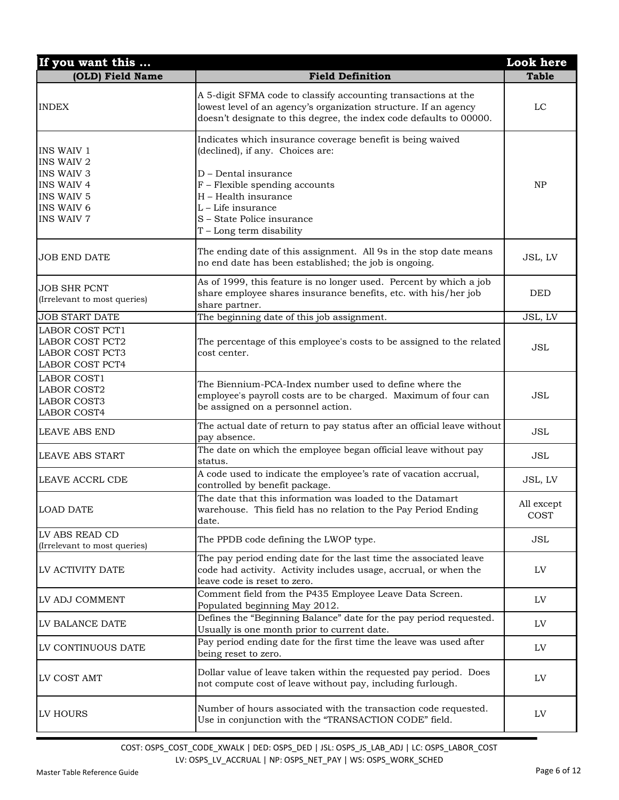| If you want this                                                                                                                         |                                                                                                                                                                                                                                                                      | <b>Look</b> here   |
|------------------------------------------------------------------------------------------------------------------------------------------|----------------------------------------------------------------------------------------------------------------------------------------------------------------------------------------------------------------------------------------------------------------------|--------------------|
| (OLD) Field Name                                                                                                                         | <b>Field Definition</b>                                                                                                                                                                                                                                              | <b>Table</b>       |
| <b>INDEX</b>                                                                                                                             | A 5-digit SFMA code to classify accounting transactions at the<br>lowest level of an agency's organization structure. If an agency<br>doesn't designate to this degree, the index code defaults to 00000.                                                            | LC                 |
| <b>INS WAIV 1</b><br>INS WAIV 2<br><b>INS WAIV 3</b><br><b>INS WAIV 4</b><br><b>INS WAIV 5</b><br><b>INS WAIV 6</b><br><b>INS WAIV 7</b> | Indicates which insurance coverage benefit is being waived<br>(declined), if any. Choices are:<br>D - Dental insurance<br>$F$ – Flexible spending accounts<br>H - Health insurance<br>L - Life insurance<br>S - State Police insurance<br>$T - Long$ term disability | NP                 |
| <b>JOB END DATE</b>                                                                                                                      | The ending date of this assignment. All 9s in the stop date means<br>no end date has been established; the job is ongoing.                                                                                                                                           | JSL, LV            |
| <b>JOB SHR PCNT</b><br>(Irrelevant to most queries)                                                                                      | As of 1999, this feature is no longer used. Percent by which a job<br>share employee shares insurance benefits, etc. with his/her job<br>share partner.                                                                                                              | <b>DED</b>         |
| <b>JOB START DATE</b>                                                                                                                    | The beginning date of this job assignment.                                                                                                                                                                                                                           | JSL, LV            |
| <b>LABOR COST PCT1</b><br><b>LABOR COST PCT2</b><br>LABOR COST PCT3<br><b>LABOR COST PCT4</b>                                            | The percentage of this employee's costs to be assigned to the related<br>cost center.                                                                                                                                                                                | <b>JSL</b>         |
| <b>LABOR COST1</b><br><b>LABOR COST2</b><br>LABOR COST3<br><b>LABOR COST4</b>                                                            | The Biennium-PCA-Index number used to define where the<br>employee's payroll costs are to be charged. Maximum of four can<br>be assigned on a personnel action.                                                                                                      | <b>JSL</b>         |
| <b>LEAVE ABS END</b>                                                                                                                     | The actual date of return to pay status after an official leave without<br>pay absence.                                                                                                                                                                              | <b>JSL</b>         |
| <b>LEAVE ABS START</b>                                                                                                                   | The date on which the employee began official leave without pay<br>status.                                                                                                                                                                                           | <b>JSL</b>         |
| LEAVE ACCRL CDE                                                                                                                          | A code used to indicate the employee's rate of vacation accrual,<br>controlled by benefit package.                                                                                                                                                                   | JSL, LV            |
| <b>LOAD DATE</b>                                                                                                                         | The date that this information was loaded to the Datamart<br>warehouse. This field has no relation to the Pay Period Ending<br>date.                                                                                                                                 | All except<br>COST |
| LV ABS READ CD<br>(Irrelevant to most queries)                                                                                           | The PPDB code defining the LWOP type.                                                                                                                                                                                                                                | JSL                |
| LV ACTIVITY DATE                                                                                                                         | The pay period ending date for the last time the associated leave<br>code had activity. Activity includes usage, accrual, or when the<br>leave code is reset to zero.                                                                                                | LV                 |
| LV ADJ COMMENT                                                                                                                           | Comment field from the P435 Employee Leave Data Screen.<br>Populated beginning May 2012.                                                                                                                                                                             | LV                 |
| LV BALANCE DATE                                                                                                                          | Defines the "Beginning Balance" date for the pay period requested.<br>Usually is one month prior to current date.                                                                                                                                                    | LV                 |
| LV CONTINUOUS DATE                                                                                                                       | Pay period ending date for the first time the leave was used after<br>being reset to zero.                                                                                                                                                                           | LV                 |
| LV COST AMT                                                                                                                              | Dollar value of leave taken within the requested pay period. Does<br>not compute cost of leave without pay, including furlough.                                                                                                                                      | LV                 |
| LV HOURS                                                                                                                                 | Number of hours associated with the transaction code requested.<br>Use in conjunction with the "TRANSACTION CODE" field.                                                                                                                                             | LV                 |

COST: OSPS\_COST\_CODE\_XWALK | DED: OSPS\_DED | JSL: OSPS\_JS\_LAB\_ADJ | LC: OSPS\_LABOR\_COST LV: OSPS\_LV\_ACCRUAL | NP: OSPS\_NET\_PAY | WS: OSPS\_WORK\_SCHED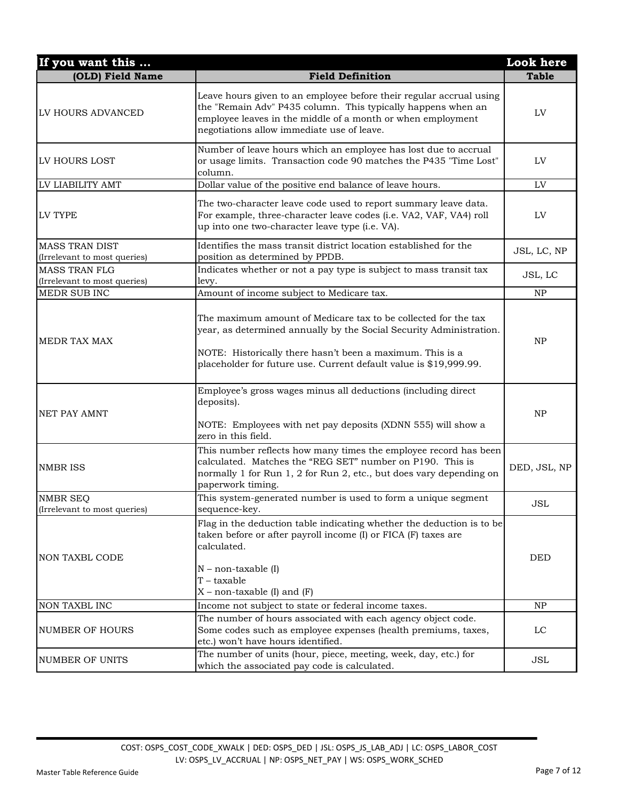| If you want this                                      |                                                                                                                                                                                                                                                                         | <b>Look</b> here |
|-------------------------------------------------------|-------------------------------------------------------------------------------------------------------------------------------------------------------------------------------------------------------------------------------------------------------------------------|------------------|
| (OLD) Field Name                                      | <b>Field Definition</b>                                                                                                                                                                                                                                                 | <b>Table</b>     |
| LV HOURS ADVANCED                                     | Leave hours given to an employee before their regular accrual using<br>the "Remain Adv" P435 column. This typically happens when an<br>employee leaves in the middle of a month or when employment<br>negotiations allow immediate use of leave.                        | LV               |
| LV HOURS LOST                                         | Number of leave hours which an employee has lost due to accrual<br>or usage limits. Transaction code 90 matches the P435 "Time Lost"<br>column.                                                                                                                         | LV               |
| LV LIABILITY AMT                                      | Dollar value of the positive end balance of leave hours.                                                                                                                                                                                                                | LV               |
| LV TYPE                                               | The two-character leave code used to report summary leave data.<br>For example, three-character leave codes (i.e. VA2, VAF, VA4) roll<br>up into one two-character leave type (i.e. VA).                                                                                | LV               |
| <b>MASS TRAN DIST</b><br>(Irrelevant to most queries) | Identifies the mass transit district location established for the<br>position as determined by PPDB.                                                                                                                                                                    | JSL, LC, NP      |
| <b>MASS TRAN FLG</b><br>(Irrelevant to most queries)  | Indicates whether or not a pay type is subject to mass transit tax<br>levy.                                                                                                                                                                                             | JSL, LC          |
| MEDR SUB INC                                          | Amount of income subject to Medicare tax.                                                                                                                                                                                                                               | NP               |
| <b>MEDR TAX MAX</b>                                   | The maximum amount of Medicare tax to be collected for the tax<br>year, as determined annually by the Social Security Administration.<br>NOTE: Historically there hasn't been a maximum. This is a<br>placeholder for future use. Current default value is \$19,999.99. | NP               |
| <b>NET PAY AMNT</b>                                   | Employee's gross wages minus all deductions (including direct<br>deposits).<br>NOTE: Employees with net pay deposits (XDNN 555) will show a<br>zero in this field.                                                                                                      | NP               |
| <b>NMBRISS</b>                                        | This number reflects how many times the employee record has been<br>calculated. Matches the "REG SET" number on P190. This is<br>normally 1 for Run 1, 2 for Run 2, etc., but does vary depending on<br>paperwork timing.                                               | DED, JSL, NP     |
| <b>NMBR SEQ</b><br>(Irrelevant to most queries)       | This system-generated number is used to form a unique segment<br>sequence-key.                                                                                                                                                                                          | JSL              |
| <b>NON TAXBL CODE</b>                                 | Flag in the deduction table indicating whether the deduction is to be<br>taken before or after payroll income (I) or FICA (F) taxes are<br>calculated.<br>$N$ – non-taxable $(I)$<br>$T$ – taxable<br>$X$ – non-taxable (I) and (F)                                     | <b>DED</b>       |
| NON TAXBL INC                                         | Income not subject to state or federal income taxes.                                                                                                                                                                                                                    | NP               |
| <b>NUMBER OF HOURS</b>                                | The number of hours associated with each agency object code.<br>Some codes such as employee expenses (health premiums, taxes,<br>etc.) won't have hours identified.                                                                                                     | LC               |
| NUMBER OF UNITS                                       | The number of units (hour, piece, meeting, week, day, etc.) for<br>which the associated pay code is calculated.                                                                                                                                                         | JSL              |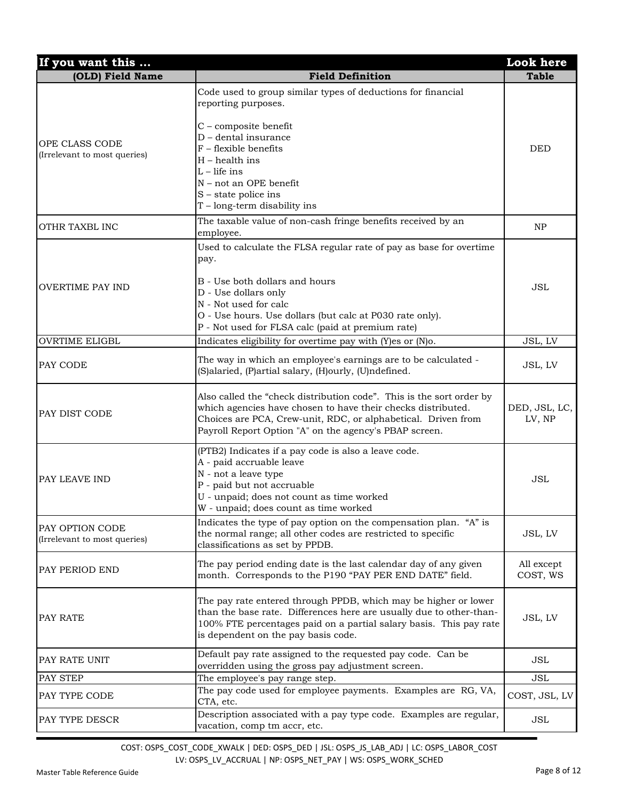| If you want this                                |                                                                                                                                                                                                                                                                                 | <b>Look here</b>        |
|-------------------------------------------------|---------------------------------------------------------------------------------------------------------------------------------------------------------------------------------------------------------------------------------------------------------------------------------|-------------------------|
| (OLD) Field Name                                | <b>Field Definition</b>                                                                                                                                                                                                                                                         | <b>Table</b>            |
|                                                 | Code used to group similar types of deductions for financial<br>reporting purposes.                                                                                                                                                                                             |                         |
| OPE CLASS CODE<br>(Irrelevant to most queries)  | C - composite benefit<br>D - dental insurance<br>$F$ – flexible benefits<br>$H$ – health ins<br>$L -$ life ins<br>N - not an OPE benefit<br>$S$ – state police ins<br>$T$ – long-term disability ins                                                                            | <b>DED</b>              |
| OTHR TAXBL INC                                  | The taxable value of non-cash fringe benefits received by an<br>employee.                                                                                                                                                                                                       | NP                      |
| <b>OVERTIME PAY IND</b>                         | Used to calculate the FLSA regular rate of pay as base for overtime<br>pay.<br>B - Use both dollars and hours<br>D - Use dollars only<br>N - Not used for calc<br>O - Use hours. Use dollars (but calc at P030 rate only).<br>P - Not used for FLSA calc (paid at premium rate) | <b>JSL</b>              |
| <b>OVRTIME ELIGBL</b>                           | Indicates eligibility for overtime pay with (Y)es or (N)o.                                                                                                                                                                                                                      | JSL, LV                 |
| PAY CODE                                        | The way in which an employee's earnings are to be calculated -<br>(S)alaried, (P)artial salary, (H)ourly, (U)ndefined.                                                                                                                                                          | JSL, LV                 |
| PAY DIST CODE                                   | Also called the "check distribution code". This is the sort order by<br>which agencies have chosen to have their checks distributed.<br>Choices are PCA, Crew-unit, RDC, or alphabetical. Driven from<br>Payroll Report Option "A" on the agency's PBAP screen.                 | DED, JSL, LC,<br>LV, NP |
| PAY LEAVE IND                                   | (PTB2) Indicates if a pay code is also a leave code.<br>A - paid accruable leave<br>N - not a leave type<br>P - paid but not accruable<br>U - unpaid; does not count as time worked<br>W - unpaid; does count as time worked                                                    | <b>JSL</b>              |
| PAY OPTION CODE<br>(Irrelevant to most queries) | Indicates the type of pay option on the compensation plan. "A" is<br>the normal range; all other codes are restricted to specific<br>classifications as set by PPDB.                                                                                                            | JSL, LV                 |
| PAY PERIOD END                                  | The pay period ending date is the last calendar day of any given<br>month. Corresponds to the P190 "PAY PER END DATE" field.                                                                                                                                                    | All except<br>COST, WS  |
| PAY RATE                                        | The pay rate entered through PPDB, which may be higher or lower<br>than the base rate. Differences here are usually due to other-than-<br>100% FTE percentages paid on a partial salary basis. This pay rate<br>is dependent on the pay basis code.                             | JSL, LV                 |
| PAY RATE UNIT                                   | Default pay rate assigned to the requested pay code. Can be<br>overridden using the gross pay adjustment screen.                                                                                                                                                                | JSL                     |
| PAY STEP                                        | The employee's pay range step.                                                                                                                                                                                                                                                  | <b>JSL</b>              |
| PAY TYPE CODE                                   | The pay code used for employee payments. Examples are RG, VA,<br>CTA, etc.                                                                                                                                                                                                      | COST, JSL, LV           |
| PAY TYPE DESCR                                  | Description associated with a pay type code. Examples are regular,<br>vacation, comp tm accr, etc.                                                                                                                                                                              | JSL                     |

COST: OSPS\_COST\_CODE\_XWALK | DED: OSPS\_DED | JSL: OSPS\_JS\_LAB\_ADJ | LC: OSPS\_LABOR\_COST LV: OSPS\_LV\_ACCRUAL | NP: OSPS\_NET\_PAY | WS: OSPS\_WORK\_SCHED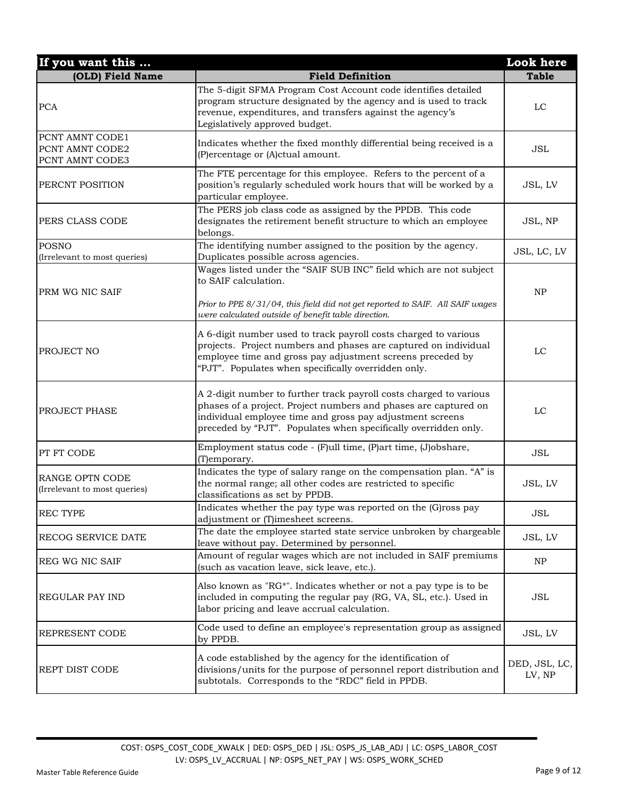| If you want this                                      |                                                                                                                                                                                                                                                                       | Look here               |
|-------------------------------------------------------|-----------------------------------------------------------------------------------------------------------------------------------------------------------------------------------------------------------------------------------------------------------------------|-------------------------|
| (OLD) Field Name                                      | <b>Field Definition</b>                                                                                                                                                                                                                                               | <b>Table</b>            |
| <b>PCA</b>                                            | The 5-digit SFMA Program Cost Account code identifies detailed<br>program structure designated by the agency and is used to track<br>revenue, expenditures, and transfers against the agency's<br>Legislatively approved budget.                                      | LC                      |
| PCNT AMNT CODE1<br>PCNT AMNT CODE2<br>PCNT AMNT CODE3 | Indicates whether the fixed monthly differential being received is a<br>(P)ercentage or (A)ctual amount.                                                                                                                                                              | ${\rm JSL}$             |
| PERCNT POSITION                                       | The FTE percentage for this employee. Refers to the percent of a<br>position's regularly scheduled work hours that will be worked by a<br>particular employee.                                                                                                        | JSL, LV                 |
| PERS CLASS CODE                                       | The PERS job class code as assigned by the PPDB. This code<br>designates the retirement benefit structure to which an employee<br>belongs.                                                                                                                            | JSL, NP                 |
| <b>POSNO</b><br>(Irrelevant to most queries)          | The identifying number assigned to the position by the agency.<br>Duplicates possible across agencies.                                                                                                                                                                | JSL, LC, LV             |
| PRM WG NIC SAIF                                       | Wages listed under the "SAIF SUB INC" field which are not subject<br>to SAIF calculation.<br>Prior to PPE 8/31/04, this field did not get reported to SAIF. All SAIF wages<br>were calculated outside of benefit table direction.                                     | NP                      |
| PROJECT NO                                            | A 6-digit number used to track payroll costs charged to various<br>projects. Project numbers and phases are captured on individual<br>employee time and gross pay adjustment screens preceded by<br>"PJT". Populates when specifically overridden only.               | LC                      |
| PROJECT PHASE                                         | A 2-digit number to further track payroll costs charged to various<br>phases of a project. Project numbers and phases are captured on<br>individual employee time and gross pay adjustment screens<br>preceded by "PJT". Populates when specifically overridden only. | LC                      |
| PT FT CODE                                            | Employment status code - (F)ull time, (P)art time, (J)obshare,<br>(T)emporary.                                                                                                                                                                                        | <b>JSL</b>              |
| RANGE OPTN CODE<br>(Irrelevant to most queries)       | Indicates the type of salary range on the compensation plan. "A" is<br>the normal range; all other codes are restricted to specific<br>classifications as set by PPDB.                                                                                                | JSL, LV                 |
| <b>REC TYPE</b>                                       | Indicates whether the pay type was reported on the (G)ross pay<br>adjustment or (T)imesheet screens.                                                                                                                                                                  | JSL                     |
| RECOG SERVICE DATE                                    | The date the employee started state service unbroken by chargeable<br>leave without pay. Determined by personnel.                                                                                                                                                     | JSL, LV                 |
| <b>REG WG NIC SAIF</b>                                | Amount of regular wages which are not included in SAIF premiums<br>(such as vacation leave, sick leave, etc.).                                                                                                                                                        | NP                      |
| <b>REGULAR PAY IND</b>                                | Also known as "RG*". Indicates whether or not a pay type is to be<br>included in computing the regular pay (RG, VA, SL, etc.). Used in<br>labor pricing and leave accrual calculation.                                                                                | <b>JSL</b>              |
| REPRESENT CODE                                        | Code used to define an employee's representation group as assigned<br>by PPDB.                                                                                                                                                                                        | JSL, LV                 |
| REPT DIST CODE                                        | A code established by the agency for the identification of<br>divisions/units for the purpose of personnel report distribution and<br>subtotals. Corresponds to the "RDC" field in PPDB.                                                                              | DED, JSL, LC,<br>LV, NP |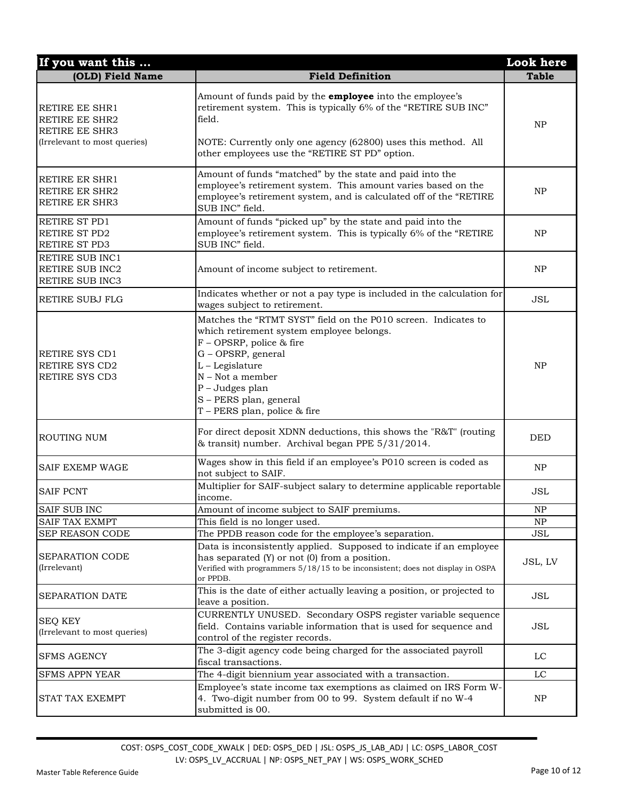| If you want this                                                                                 |                                                                                                                                                                                                                                                                                   | Look here    |
|--------------------------------------------------------------------------------------------------|-----------------------------------------------------------------------------------------------------------------------------------------------------------------------------------------------------------------------------------------------------------------------------------|--------------|
| (OLD) Field Name                                                                                 | <b>Field Definition</b>                                                                                                                                                                                                                                                           | <b>Table</b> |
| RETIRE EE SHR1<br><b>RETIRE EE SHR2</b><br><b>RETIRE EE SHR3</b><br>(Irrelevant to most queries) | Amount of funds paid by the <b>employee</b> into the employee's<br>retirement system. This is typically 6% of the "RETIRE SUB INC"<br>field.<br>NOTE: Currently only one agency (62800) uses this method. All<br>other employees use the "RETIRE ST PD" option.                   | <b>NP</b>    |
| <b>RETIRE ER SHR1</b><br><b>RETIRE ER SHR2</b><br><b>RETIRE ER SHR3</b>                          | Amount of funds "matched" by the state and paid into the<br>employee's retirement system. This amount varies based on the<br>employee's retirement system, and is calculated off of the "RETIRE<br>SUB INC" field.                                                                | <b>NP</b>    |
| RETIRE ST PD1<br>RETIRE ST PD2<br>RETIRE ST PD3                                                  | Amount of funds "picked up" by the state and paid into the<br>employee's retirement system. This is typically 6% of the "RETIRE<br>SUB INC" field.                                                                                                                                | NP           |
| RETIRE SUB INC1<br>RETIRE SUB INC2<br>RETIRE SUB INC3                                            | Amount of income subject to retirement.                                                                                                                                                                                                                                           | NP           |
| RETIRE SUBJ FLG                                                                                  | Indicates whether or not a pay type is included in the calculation for<br>wages subject to retirement.                                                                                                                                                                            | <b>JSL</b>   |
| <b>RETIRE SYS CD1</b><br><b>RETIRE SYS CD2</b><br>RETIRE SYS CD3                                 | Matches the "RTMT SYST" field on the P010 screen. Indicates to<br>which retirement system employee belongs.<br>F - OPSRP, police & fire<br>G - OPSRP, general<br>L - Legislature<br>N - Not a member<br>P - Judges plan<br>S - PERS plan, general<br>T - PERS plan, police & fire | NP           |
| <b>ROUTING NUM</b>                                                                               | For direct deposit XDNN deductions, this shows the "R&T" (routing<br>& transit) number. Archival began PPE 5/31/2014.                                                                                                                                                             | DED          |
| <b>SAIF EXEMP WAGE</b>                                                                           | Wages show in this field if an employee's P010 screen is coded as<br>not subject to SAIF.                                                                                                                                                                                         | NP           |
| <b>SAIF PCNT</b>                                                                                 | Multiplier for SAIF-subject salary to determine applicable reportable<br>income.                                                                                                                                                                                                  | <b>JSL</b>   |
| <b>SAIF SUB INC</b>                                                                              | Amount of income subject to SAIF premiums.                                                                                                                                                                                                                                        | ${\rm NP}$   |
| <b>SAIF TAX EXMPT</b>                                                                            | This field is no longer used.                                                                                                                                                                                                                                                     | NP           |
| SEP REASON CODE                                                                                  | The PPDB reason code for the employee's separation.                                                                                                                                                                                                                               | <b>JSL</b>   |
| SEPARATION CODE<br>(Irrelevant)                                                                  | Data is inconsistently applied. Supposed to indicate if an employee<br>has separated (Y) or not (0) from a position.<br>Verified with programmers 5/18/15 to be inconsistent; does not display in OSPA<br>or PPDB.                                                                | JSL, LV      |
| SEPARATION DATE                                                                                  | This is the date of either actually leaving a position, or projected to<br>leave a position.                                                                                                                                                                                      | JSL          |
| <b>SEQ KEY</b><br>(Irrelevant to most queries)                                                   | CURRENTLY UNUSED. Secondary OSPS register variable sequence<br>field. Contains variable information that is used for sequence and<br>control of the register records.                                                                                                             | <b>JSL</b>   |
| <b>SFMS AGENCY</b>                                                                               | The 3-digit agency code being charged for the associated payroll<br>fiscal transactions.                                                                                                                                                                                          | LC           |
| <b>SFMS APPN YEAR</b>                                                                            | The 4-digit biennium year associated with a transaction.                                                                                                                                                                                                                          | $_{\rm LC}$  |
| STAT TAX EXEMPT                                                                                  | Employee's state income tax exemptions as claimed on IRS Form W-<br>4. Two-digit number from 00 to 99. System default if no W-4<br>submitted is 00.                                                                                                                               | NP           |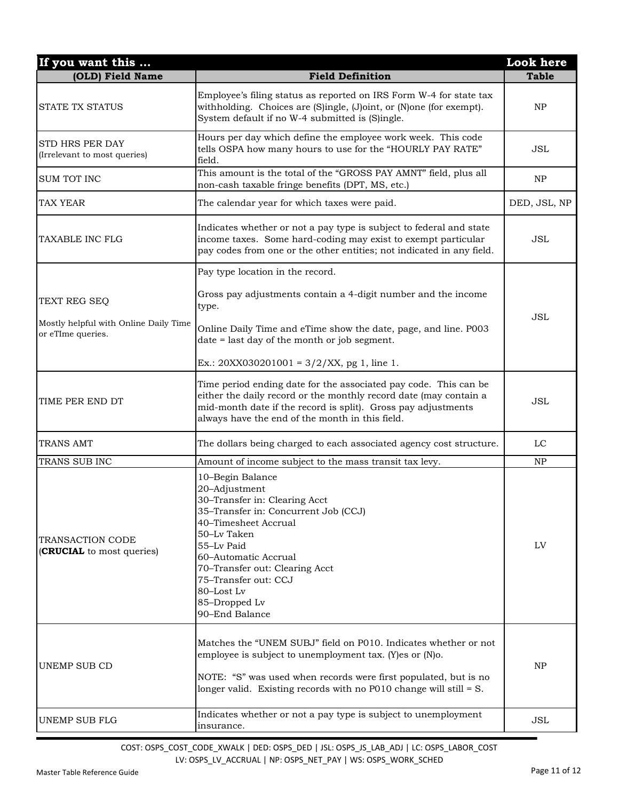| If you want this                                           |                                                                                                                                                                                                                                                                                                    | Look here    |
|------------------------------------------------------------|----------------------------------------------------------------------------------------------------------------------------------------------------------------------------------------------------------------------------------------------------------------------------------------------------|--------------|
| (OLD) Field Name                                           | <b>Field Definition</b>                                                                                                                                                                                                                                                                            | <b>Table</b> |
| <b>STATE TX STATUS</b>                                     | Employee's filing status as reported on IRS Form W-4 for state tax<br>withholding. Choices are (S)ingle, (J)oint, or (N)one (for exempt).<br>System default if no W-4 submitted is (S)ingle.                                                                                                       | NP           |
| STD HRS PER DAY<br>(Irrelevant to most queries)            | Hours per day which define the employee work week. This code<br>tells OSPA how many hours to use for the "HOURLY PAY RATE"<br>field.                                                                                                                                                               | <b>JSL</b>   |
| <b>SUM TOT INC</b>                                         | This amount is the total of the "GROSS PAY AMNT" field, plus all<br>non-cash taxable fringe benefits (DPT, MS, etc.)                                                                                                                                                                               | <b>NP</b>    |
| <b>TAX YEAR</b>                                            | The calendar year for which taxes were paid.                                                                                                                                                                                                                                                       | DED, JSL, NP |
| TAXABLE INC FLG                                            | Indicates whether or not a pay type is subject to federal and state<br>income taxes. Some hard-coding may exist to exempt particular<br>pay codes from one or the other entities; not indicated in any field.                                                                                      | <b>JSL</b>   |
|                                                            | Pay type location in the record.                                                                                                                                                                                                                                                                   |              |
| TEXT REG SEQ                                               | Gross pay adjustments contain a 4-digit number and the income<br>type.                                                                                                                                                                                                                             |              |
| Mostly helpful with Online Daily Time<br>or eTIme queries. | Online Daily Time and eTime show the date, page, and line. P003<br>date = last day of the month or job segment.                                                                                                                                                                                    | JSL          |
|                                                            | Ex.: 20XX030201001 = $3/2/XX$ , pg 1, line 1.                                                                                                                                                                                                                                                      |              |
| TIME PER END DT                                            | Time period ending date for the associated pay code. This can be<br>either the daily record or the monthly record date (may contain a<br>mid-month date if the record is split). Gross pay adjustments<br>always have the end of the month in this field.                                          | <b>JSL</b>   |
| TRANS AMT                                                  | The dollars being charged to each associated agency cost structure.                                                                                                                                                                                                                                | LC           |
| TRANS SUB INC                                              | Amount of income subject to the mass transit tax levy.                                                                                                                                                                                                                                             | NP           |
| <b>TRANSACTION CODE</b><br>(CRUCIAL to most queries)       | 10-Begin Balance<br>20-Adjustment<br>30-Transfer in: Clearing Acct<br>35-Transfer in: Concurrent Job (CCJ)<br>40-Timesheet Accrual<br>50-Ly Taken<br>55-Lv Paid<br>60-Automatic Accrual<br>70-Transfer out: Clearing Acct<br>75-Transfer out: CCJ<br>80-Lost Lv<br>85-Dropped Lv<br>90-End Balance | LV           |
| UNEMP SUB CD                                               | Matches the "UNEM SUBJ" field on P010. Indicates whether or not<br>employee is subject to unemployment tax. (Y)es or (N)o.<br>NOTE: "S" was used when records were first populated, but is no<br>longer valid. Existing records with no P010 change will still $= S$ .                             | NP           |
| <b>UNEMP SUB FLG</b>                                       | Indicates whether or not a pay type is subject to unemployment<br>insurance.                                                                                                                                                                                                                       | JSL          |

COST: OSPS\_COST\_CODE\_XWALK | DED: OSPS\_DED | JSL: OSPS\_JS\_LAB\_ADJ | LC: OSPS\_LABOR\_COST

LV: OSPS\_LV\_ACCRUAL | NP: OSPS\_NET\_PAY | WS: OSPS\_WORK\_SCHED